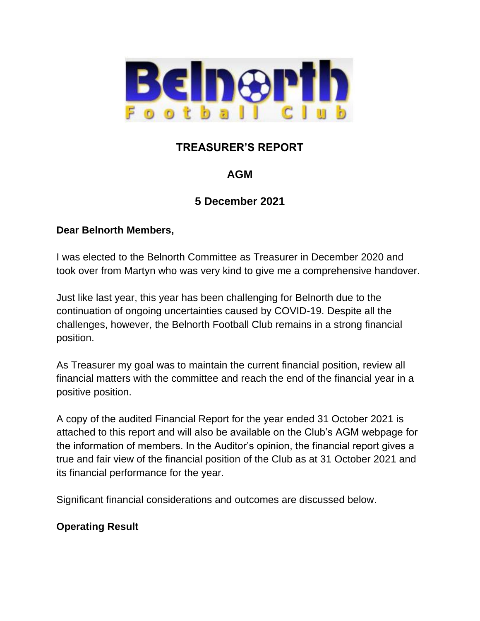

# **TREASURER'S REPORT**

# **AGM**

# **5 December 2021**

### **Dear Belnorth Members,**

I was elected to the Belnorth Committee as Treasurer in December 2020 and took over from Martyn who was very kind to give me a comprehensive handover.

Just like last year, this year has been challenging for Belnorth due to the continuation of ongoing uncertainties caused by COVID-19. Despite all the challenges, however, the Belnorth Football Club remains in a strong financial position.

As Treasurer my goal was to maintain the current financial position, review all financial matters with the committee and reach the end of the financial year in a positive position.

A copy of the audited Financial Report for the year ended 31 October 2021 is attached to this report and will also be available on the Club's AGM webpage for the information of members. In the Auditor's opinion, the financial report gives a true and fair view of the financial position of the Club as at 31 October 2021 and its financial performance for the year.

Significant financial considerations and outcomes are discussed below.

## **Operating Result**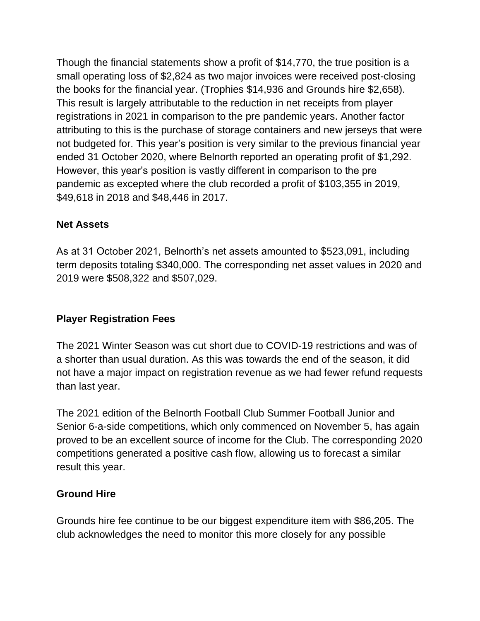Though the financial statements show a profit of \$14,770, the true position is a small operating loss of \$2,824 as two major invoices were received post-closing the books for the financial year. (Trophies \$14,936 and Grounds hire \$2,658). This result is largely attributable to the reduction in net receipts from player registrations in 2021 in comparison to the pre pandemic years. Another factor attributing to this is the purchase of storage containers and new jerseys that were not budgeted for. This year's position is very similar to the previous financial year ended 31 October 2020, where Belnorth reported an operating profit of \$1,292. However, this year's position is vastly different in comparison to the pre pandemic as excepted where the club recorded a profit of \$103,355 in 2019, \$49,618 in 2018 and \$48,446 in 2017.

### **Net Assets**

As at 31 October 2021, Belnorth's net assets amounted to \$523,091, including term deposits totaling \$340,000. The corresponding net asset values in 2020 and 2019 were \$508,322 and \$507,029.

## **Player Registration Fees**

The 2021 Winter Season was cut short due to COVID-19 restrictions and was of a shorter than usual duration. As this was towards the end of the season, it did not have a major impact on registration revenue as we had fewer refund requests than last year.

The 2021 edition of the Belnorth Football Club Summer Football Junior and Senior 6-a-side competitions, which only commenced on November 5, has again proved to be an excellent source of income for the Club. The corresponding 2020 competitions generated a positive cash flow, allowing us to forecast a similar result this year.

#### **Ground Hire**

Grounds hire fee continue to be our biggest expenditure item with \$86,205. The club acknowledges the need to monitor this more closely for any possible